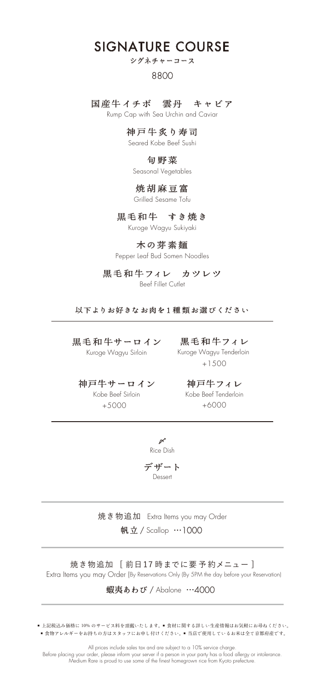# SIGNATURE COURSE

# シグネチャーコース

### 8800

### 国産牛イチボ 雲丹 キャビア

Rump Cap with Sea Urchin and Caviar

### 神戸牛炙り寿司

Seared Kobe Beef Sushi

### 旬野菜

Seasonal Vegetables

### 焼胡麻豆富

Grilled Sesame Tofu

### 黒毛和牛 すき焼き

Kuroge Wagyu Sukiyaki

### 木の芽素麺

Pepper Leaf Bud Somen Noodles

### 黒毛和牛フィレ カツレツ

Beef Fillet Cutlet

以下よりお好きなお肉を1 種 類お選びください

黒毛和牛サーロイン 黒毛和牛フィレ Kuroge Wagyu Sirloin

+1500 Kuroge Wagyu Tenderloin

神戸牛サーロイン 神戸牛フィレ +5000 +6000 Kobe Beef Sirloin

Kobe Beef Tenderloin



デザート Dessert

焼き物追加 Extra Items you may Order 帆立 / Scallop …1000

焼き物追加 [ 前日17 時までに要 予 約メニュー ] Extra Items you may Order (By Reservations Only (By 5PM the day before your Reservation)

蝦夷あわび / Abalone …4000

■ 上記税込み価格に 10% のサービス料を頂戴いたします。■食材に関する詳しい生産情報はお気軽にお尋ねください。 ■食物アレルギーをお持ちの方はスタッフにお申し付けください。■ 当店で使用しているお米は全て京都府産です。

All prices include sales tax and are subject to a 10% service charge. Before placing your order, please inform your server if a person in your party has a food allergy or intolerance. Medium Rare is proud to use some of the finest homegrown rice from Kyoto prefecture.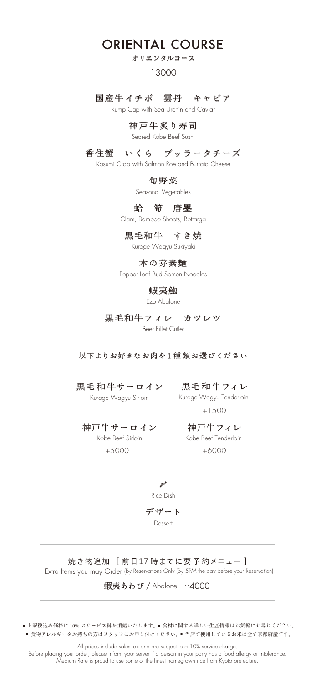# ORIENTAL COURSE

### オリエンタルコース

### 13000

### 国産牛イチボ 雲丹 キャビア

Rump Cap with Sea Urchin and Caviar

### 神戸牛炙り寿司

Seared Kobe Beef Sushi

### 香住蟹 いくら ブッラータチーズ

Kasumi Crab with Salmon Roe and Burrata Cheese

### 旬野菜

Seasonal Vegetables

### 蛤 筍 唐墨

Clam, Bamboo Shoots, Bottarga

### 黒毛和牛 すき焼

Kuroge Wagyu Sukiyaki

### 木の芽素麺

Pepper Leaf Bud Somen Noodles

### 蝦夷鮑

Ezo Abalone

### 黒毛和牛フィレ カツレツ

Beef Fillet Cutlet

### 以下よりお好きなお肉を1 種 類お選びください

# 黒毛和牛サーロイン 黒毛和牛フィレ

Kuroge Wagyu Sirloin

+1500 Kuroge Wagyu Tenderloin

# 神戸牛サーロイン 神戸牛フィレ

+5000 +6000 Kobe Beef Sirloin

# Kobe Beef Tenderloin

 $\boldsymbol{\beta}$ デザート Rice Dish

Dessert

### 焼き物追加 [ 前日17時までに要予約メニュー] Extra Items you may Order (By Reservations Only (By 5PM the day before your Reservation)

蝦夷あわび / Abalone …4000

■ 上記税込み価格に 10% のサービス料を頂戴いたします。■食材に関する詳しい生産情報はお気軽にお尋ねください。 ■食物アレルギーをお持ちの方はスタッフにお申し付けください。■ 当店で使用しているお米は全て京都府産です。

All prices include sales tax and are subject to a 10% service charge. Before placing your order, please inform your server if a person in your party has a food allergy or intolerance. Medium Rare is proud to use some of the finest homegrown rice from Kyoto prefecture.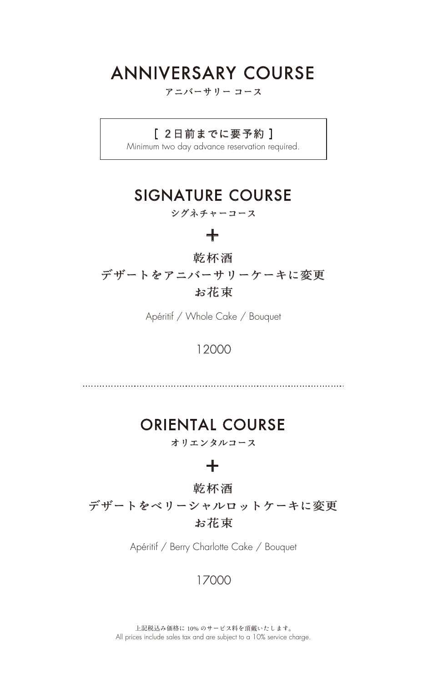# ANNIVERSARY COURSE

### アニバーサリー コース

### [ 2日前までに要予約 ]

Minimum two day advance reservation required.

# SIGNATURE COURSE

### シグネチャーコース

### **+**

### 乾杯酒

デザートをアニバーサリーケーキに変更 お花束

Apéritif / Whole Cake / Bouquet

### 12000

# ORIENTAL COURSE

オリエンタルコース

### **+**

### 乾杯酒

デザートをベリーシャルロットケーキに変更 お花束

Apéritif / Berry Charlotte Cake / Bouquet

### 17000